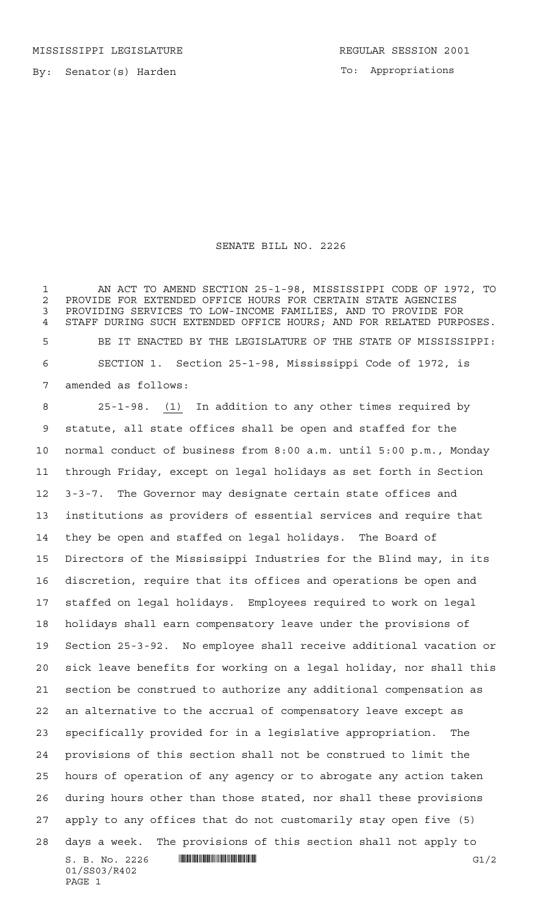MISSISSIPPI LEGISLATURE **REGULAR SESSION 2001** 

To: Appropriations

## SENATE BILL NO. 2226

 AN ACT TO AMEND SECTION 25-1-98, MISSISSIPPI CODE OF 1972, TO 2 PROVIDE FOR EXTENDED OFFICE HOURS FOR CERTAIN STATE AGENCIES<br>3 PROVIDING SERVICES TO LOW-INCOME FAMILIES, AND TO PROVIDE FOI PROVIDING SERVICES TO LOW-INCOME FAMILIES, AND TO PROVIDE FOR STAFF DURING SUCH EXTENDED OFFICE HOURS; AND FOR RELATED PURPOSES. BE IT ENACTED BY THE LEGISLATURE OF THE STATE OF MISSISSIPPI: SECTION 1. Section 25-1-98, Mississippi Code of 1972, is amended as follows:

 $S. B. No. 2226$  **INNIFICALLY EXAMPLE ASSESSED ASSOCIATE G1/2** 01/SS03/R402 PAGE 1 25-1-98. (1) In addition to any other times required by statute, all state offices shall be open and staffed for the normal conduct of business from 8:00 a.m. until 5:00 p.m., Monday through Friday, except on legal holidays as set forth in Section 3-3-7. The Governor may designate certain state offices and institutions as providers of essential services and require that they be open and staffed on legal holidays. The Board of Directors of the Mississippi Industries for the Blind may, in its discretion, require that its offices and operations be open and staffed on legal holidays. Employees required to work on legal holidays shall earn compensatory leave under the provisions of Section 25-3-92. No employee shall receive additional vacation or sick leave benefits for working on a legal holiday, nor shall this section be construed to authorize any additional compensation as an alternative to the accrual of compensatory leave except as specifically provided for in a legislative appropriation. The provisions of this section shall not be construed to limit the hours of operation of any agency or to abrogate any action taken during hours other than those stated, nor shall these provisions apply to any offices that do not customarily stay open five (5) days a week. The provisions of this section shall not apply to